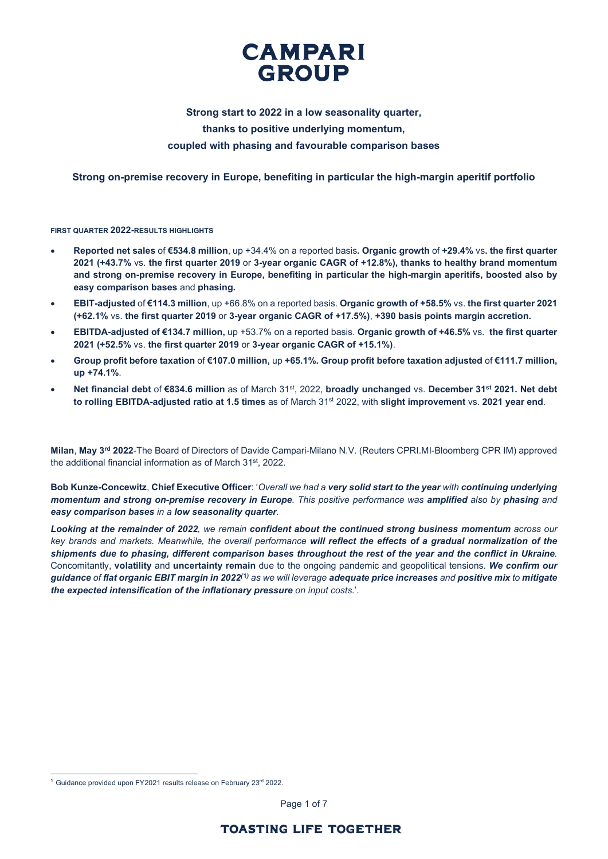

# **Strong start to 2022 in a low seasonality quarter, thanks to positive underlying momentum, coupled with phasing and favourable comparison bases**

**Strong on-premise recovery in Europe, benefiting in particular the high-margin aperitif portfolio**

**FIRST QUARTER 2022-RESULTS HIGHLIGHTS**

- **Reported net sales** of **€534.8 million**, up +34.4% on a reported basis**. Organic growth** of **+29.4%** vs**. the first quarter 2021 (+43.7%** vs. **the first quarter 2019** or **3-year organic CAGR of +12.8%), thanks to healthy brand momentum and strong on-premise recovery in Europe, benefiting in particular the high-margin aperitifs, boosted also by easy comparison bases** and **phasing.**
- **EBIT-adjusted** of **€114.3 million**, up +66.8% on a reported basis. **Organic growth of +58.5%** vs. **the first quarter 2021 (+62.1%** vs. **the first quarter 2019** or **3-year organic CAGR of +17.5%)**, **+390 basis points margin accretion.**
- **EBITDA-adjusted of €134.7 million,** up +53.7% on a reported basis. **Organic growth of +46.5%** vs. **the first quarter 2021 (+52.5%** vs. **the first quarter 2019** or **3-year organic CAGR of +15.1%)**.
- **Group profit before taxation** of **€107.0 million,** up **+65.1%. Group profit before taxation adjusted** of **€111.7 million, up +74.1%**.
- **Net financial debt** of **€834.6 million** as of March 31st, 2022, **broadly unchanged** vs. **December 31st 2021. Net debt to rolling EBITDA-adjusted ratio at 1.5 times** as of March 31st 2022, with **slight improvement** vs. **2021 year end**.

**Milan**, **May 3rd 2022**-The Board of Directors of Davide Campari-Milano N.V. (Reuters CPRI.MI-Bloomberg CPR IM) approved the additional financial information as of March 31<sup>st</sup>, 2022.

**Bob Kunze-Concewitz**, **Chief Executive Officer**: '*Overall we had a very solid start to the year with continuing underlying momentum and strong on-premise recovery in Europe. This positive performance was amplified also by phasing and easy comparison bases in a low seasonality quarter.* 

*Looking at the remainder of 2022, we remain confident about the continued strong business momentum across our key brands and markets. Meanwhile, the overall performance will reflect the effects of a gradual normalization of the shipments due to phasing, different comparison bases throughout the rest of the year and the conflict in Ukraine.* Concomitantly, **volatility** and **uncertainty remain** due to the ongoing pandemic and geopolitical tensions. *We confirm our guidance of flat organic EBIT margin in 2022(***[1](#page-0-0)***) as we will leverage adequate price increases and positive mix to mitigate the expected intensification of the inflationary pressure on input costs.*'.

Page 1 of 7

<span id="page-0-0"></span><sup>&</sup>lt;sup>1</sup> Guidance provided upon FY2021 results release on February 23<sup>rd</sup> 2022.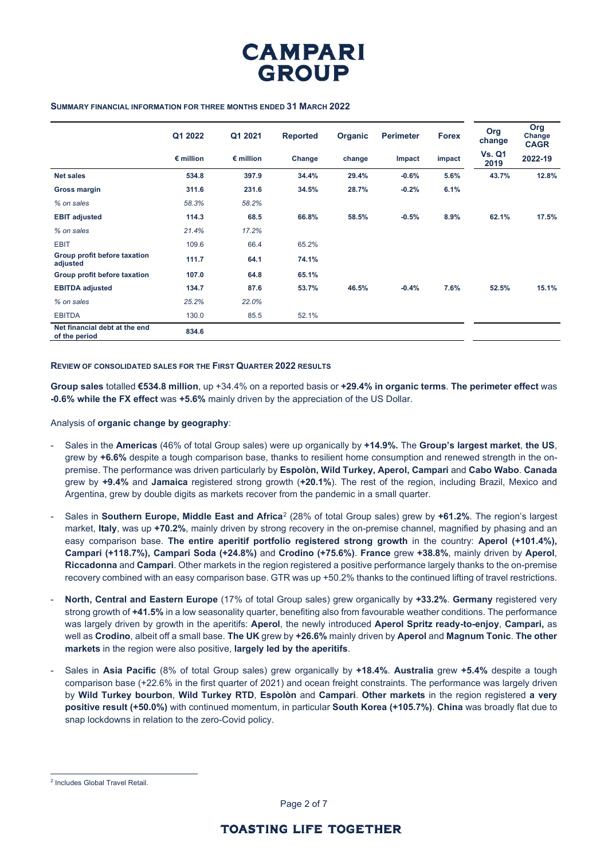

### **SUMMARY FINANCIAL INFORMATION FOR THREE MONTHS ENDED 31 MARCH 2022**

|                                                | Q1 2022            | Q1 2021            | <b>Reported</b> | Organic | <b>Perimeter</b> | <b>Forex</b> | Org<br>change         | Org<br>Change<br><b>CAGR</b> |
|------------------------------------------------|--------------------|--------------------|-----------------|---------|------------------|--------------|-----------------------|------------------------------|
|                                                | $\epsilon$ million | $\epsilon$ million | Change          | change  | Impact           | impact       | <b>Vs. Q1</b><br>2019 | 2022-19                      |
| <b>Net sales</b>                               | 534.8              | 397.9              | 34.4%           | 29.4%   | $-0.6%$          | 5.6%         | 43.7%                 | 12.8%                        |
| Gross margin                                   | 311.6              | 231.6              | 34.5%           | 28.7%   | $-0.2%$          | 6.1%         |                       |                              |
| % on sales                                     | 58.3%              | 58.2%              |                 |         |                  |              |                       |                              |
| <b>EBIT adjusted</b>                           | 114.3              | 68.5               | 66.8%           | 58.5%   | $-0.5%$          | 8.9%         | 62.1%                 | 17.5%                        |
| % on sales                                     | 21.4%              | 17.2%              |                 |         |                  |              |                       |                              |
| <b>EBIT</b>                                    | 109.6              | 66.4               | 65.2%           |         |                  |              |                       |                              |
| Group profit before taxation<br>adjusted       | 111.7              | 64.1               | 74.1%           |         |                  |              |                       |                              |
| Group profit before taxation                   | 107.0              | 64.8               | 65.1%           |         |                  |              |                       |                              |
| <b>EBITDA</b> adjusted                         | 134.7              | 87.6               | 53.7%           | 46.5%   | $-0.4%$          | 7.6%         | 52.5%                 | 15.1%                        |
| % on sales                                     | 25.2%              | 22.0%              |                 |         |                  |              |                       |                              |
| <b>EBITDA</b>                                  | 130.0              | 85.5               | 52.1%           |         |                  |              |                       |                              |
| Net financial debt at the end<br>of the period | 834.6              |                    |                 |         |                  |              |                       |                              |

#### **REVIEW OF CONSOLIDATED SALES FOR THE FIRST QUARTER 2022 RESULTS**

**Group sales** totalled **€534.8 million**, up +34.4% on a reported basis or **+29.4% in organic terms**. **The perimeter effect** was **-0.6% while the FX effect** was **+5.6%** mainly driven by the appreciation of the US Dollar.

### Analysis of **organic change by geography**:

- Sales in the **Americas** (46% of total Group sales) were up organically by **+14.9%.** The **Group's largest market**, **the US**, grew by **+6.6%** despite a tough comparison base, thanks to resilient home consumption and renewed strength in the onpremise. The performance was driven particularly by **Espolòn, Wild Turkey, Aperol, Campari** and **Cabo Wabo**. **Canada** grew by **+9.4%** and **Jamaica** registered strong growth (**+20.1%**). The rest of the region, including Brazil, Mexico and Argentina, grew by double digits as markets recover from the pandemic in a small quarter.
- Sales in **Southern Europe, Middle East and Africa**[2](#page-1-0) (28% of total Group sales) grew by **+61.2%**. The region's largest market, **Italy**, was up **+70.2%**, mainly driven by strong recovery in the on-premise channel, magnified by phasing and an easy comparison base. **The entire aperitif portfolio registered strong growth** in the country: **Aperol (+101.4%), Campari (+118.7%), Campari Soda (+24.8%)** and **Crodino (+75.6%)**. **France** grew **+38.8%**, mainly driven by **Aperol**, **Riccadonna** and **Campari**. Other markets in the region registered a positive performance largely thanks to the on-premise recovery combined with an easy comparison base. GTR was up +50.2% thanks to the continued lifting of travel restrictions.
- **North, Central and Eastern Europe** (17% of total Group sales) grew organically by **+33.2%**. **Germany** registered very strong growth of **+41.5%** in a low seasonality quarter, benefiting also from favourable weather conditions. The performance was largely driven by growth in the aperitifs: **Aperol**, the newly introduced **Aperol Spritz ready-to-enjoy**, **Campari,** as well as **Crodino**, albeit off a small base. **The UK** grew by **+26.6%** mainly driven by **Aperol** and **Magnum Tonic**. **The other markets** in the region were also positive, **largely led by the aperitifs**.
- Sales in **Asia Pacific** (8% of total Group sales) grew organically by **+18.4%**. **Australia** grew **+5.4%** despite a tough comparison base (+22.6% in the first quarter of 2021) and ocean freight constraints. The performance was largely driven by **Wild Turkey bourbon**, **Wild Turkey RTD**, **Espolòn** and **Campari**. **Other markets** in the region registered **a very positive result (+50.0%)** with continued momentum, in particular **South Korea (+105.7%)**. **China** was broadly flat due to snap lockdowns in relation to the zero-Covid policy.

Page 2 of 7

<span id="page-1-0"></span><sup>2</sup> Includes Global Travel Retail.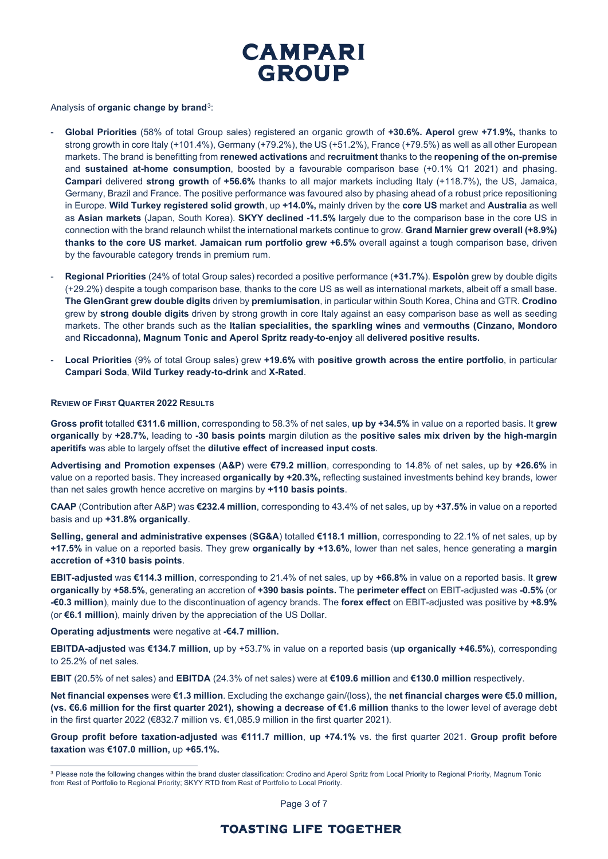

Analysis of **organic change by brand**[3](#page-2-0):

- **Global Priorities** (58% of total Group sales) registered an organic growth of **+30.6%. Aperol** grew **+71.9%,** thanks to strong growth in core Italy (+101.4%), Germany (+79.2%), the US (+51.2%), France (+79.5%) as well as all other European markets. The brand is benefitting from **renewed activations** and **recruitment** thanks to the **reopening of the on-premise**  and **sustained at-home consumption**, boosted by a favourable comparison base (+0.1% Q1 2021) and phasing. **Campari** delivered **strong growth** of **+56.6%** thanks to all major markets including Italy (+118.7%), the US, Jamaica, Germany, Brazil and France. The positive performance was favoured also by phasing ahead of a robust price repositioning in Europe. **Wild Turkey registered solid growth**, up **+14.0%,** mainly driven by the **core US** market and **Australia** as well as **Asian markets** (Japan, South Korea). **SKYY declined -11.5%** largely due to the comparison base in the core US in connection with the brand relaunch whilst the international markets continue to grow. **Grand Marnier grew overall (+8.9%) thanks to the core US market**. **Jamaican rum portfolio grew +6.5%** overall against a tough comparison base, driven by the favourable category trends in premium rum.
- **Regional Priorities** (24% of total Group sales) recorded a positive performance (**+31.7%**). **Espolòn** grew by double digits (+29.2%) despite a tough comparison base, thanks to the core US as well as international markets, albeit off a small base. **The GlenGrant grew double digits** driven by **premiumisation**, in particular within South Korea, China and GTR. **Crodino** grew by **strong double digits** driven by strong growth in core Italy against an easy comparison base as well as seeding markets. The other brands such as the **Italian specialities, the sparkling wines** and **vermouths (Cinzano, Mondoro** and **Riccadonna), Magnum Tonic and Aperol Spritz ready-to-enjoy** all **delivered positive results.**
- **Local Priorities** (9% of total Group sales) grew **+19.6%** with **positive growth across the entire portfolio**, in particular **Campari Soda**, **Wild Turkey ready-to-drink** and **X-Rated**.

### **REVIEW OF FIRST QUARTER 2022 RESULTS**

**Gross profit** totalled **€311.6 million**, corresponding to 58.3% of net sales, **up by +34.5%** in value on a reported basis. It **grew organically** by **+28.7%**, leading to **-30 basis points** margin dilution as the **positive sales mix driven by the high-margin aperitifs** was able to largely offset the **dilutive effect of increased input costs**.

**Advertising and Promotion expenses** (**A&P**) were **€79.2 million**, corresponding to 14.8% of net sales, up by **+26.6%** in value on a reported basis. They increased **organically by +20.3%,** reflecting sustained investments behind key brands, lower than net sales growth hence accretive on margins by **+110 basis points**.

**CAAP** (Contribution after A&P) was **€232.4 million**, corresponding to 43.4% of net sales, up by **+37.5%** in value on a reported basis and up **+31.8% organically**.

**Selling, general and administrative expenses** (**SG&A**) totalled **€118.1 million**, corresponding to 22.1% of net sales, up by **+17.5%** in value on a reported basis. They grew **organically by +13.6%**, lower than net sales, hence generating a **margin accretion of +310 basis points**.

**EBIT-adjusted** was **€114.3 million**, corresponding to 21.4% of net sales, up by **+66.8%** in value on a reported basis. It **grew organically** by **+58.5%**, generating an accretion of **+390 basis points.** The **perimeter effect** on EBIT-adjusted was **-0.5%** (or **-€0.3 million**), mainly due to the discontinuation of agency brands. The **forex effect** on EBIT-adjusted was positive by **+8.9%** (or **€6.1 million**), mainly driven by the appreciation of the US Dollar.

**Operating adjustments** were negative at **-€4.7 million.**

**EBITDA-adjusted** was **€134.7 million**, up by +53.7% in value on a reported basis (**up organically +46.5%**), corresponding to 25.2% of net sales.

**EBIT** (20.5% of net sales) and **EBITDA** (24.3% of net sales) were at **€109.6 million** and **€130.0 million** respectively.

**Net financial expenses** were **€1.3 million**. Excluding the exchange gain/(loss), the **net financial charges were €5.0 million, (vs. €6.6 million for the first quarter 2021), showing a decrease of €1.6 million** thanks to the lower level of average debt in the first quarter 2022 (€832.7 million vs. €1,085.9 million in the first quarter 2021).

**Group profit before taxation-adjusted** was **€111.7 million**, **up +74.1%** vs. the first quarter 2021. **Group profit before taxation** was **€107.0 million,** up **+65.1%.**

<span id="page-2-0"></span><sup>&</sup>lt;sup>3</sup> Please note the following changes within the brand cluster classification: Crodino and Aperol Spritz from Local Priority to Regional Priority, Magnum Tonic from Rest of Portfolio to Regional Priority; SKYY RTD from Rest of Portfolio to Local Priority.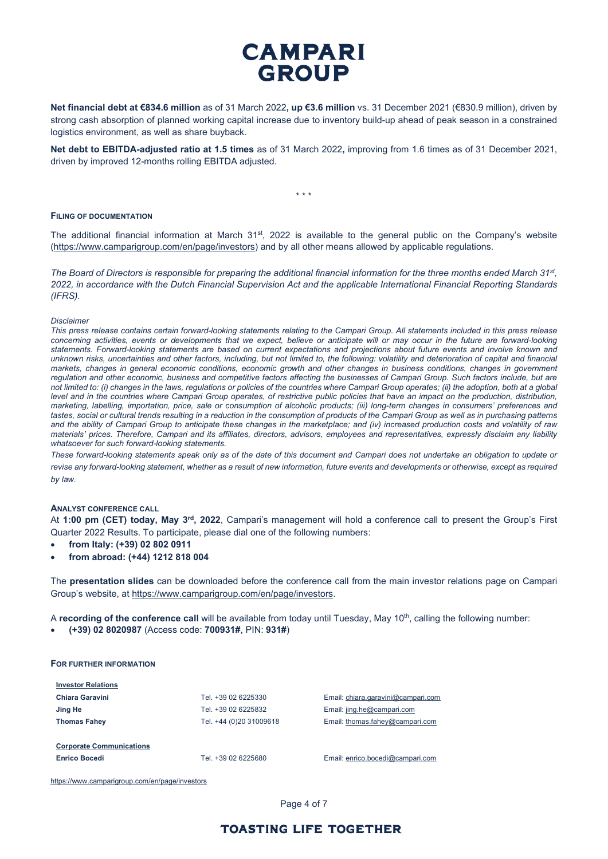# **CAMPARI GROUP**

**Net financial debt at €834.6 million** as of 31 March 2022**, up €3.6 million** vs. 31 December 2021 (€830.9 million), driven by strong cash absorption of planned working capital increase due to inventory build-up ahead of peak season in a constrained logistics environment, as well as share buyback.

**Net debt to EBITDA-adjusted ratio at 1.5 times** as of 31 March 2022**,** improving from 1.6 times as of 31 December 2021, driven by improved 12-months rolling EBITDA adjusted.

\* \* \*

#### **FILING OF DOCUMENTATION**

The additional financial information at March 31<sup>st</sup>, 2022 is available to the general public on the Company's website [\(https://www.camparigroup.com/en/page/investors\)](https://www.camparigroup.com/en/page/investors) and by all other means allowed by applicable regulations.

*The Board of Directors is responsible for preparing the additional financial information for the three months ended March 31st, 2022, in accordance with the Dutch Financial Supervision Act and the applicable International Financial Reporting Standards (IFRS).*

#### *Disclaimer*

*This press release contains certain forward-looking statements relating to the Campari Group. All statements included in this press release concerning activities, events or developments that we expect, believe or anticipate will or may occur in the future are forward-looking*  statements. Forward-looking statements are based on current expectations and projections about future events and involve known and *unknown risks, uncertainties and other factors, including, but not limited to, the following: volatility and deterioration of capital and financial markets, changes in general economic conditions, economic growth and other changes in business conditions, changes in government*  regulation and other economic, business and competitive factors affecting the businesses of Campari Group. Such factors include, but are *not limited to: (i) changes in the laws, regulations or policies of the countries where Campari Group operates; (ii) the adoption, both at a global*  level and in the countries where Campari Group operates, of restrictive public policies that have an impact on the production, distribution, *marketing, labelling, importation, price, sale or consumption of alcoholic products; (iii) long-term changes in consumers' preferences and tastes, social or cultural trends resulting in a reduction in the consumption of products of the Campari Group as well as in purchasing patterns and the ability of Campari Group to anticipate these changes in the marketplace; and (iv) increased production costs and volatility of raw materials' prices. Therefore, Campari and its affiliates, directors, advisors, employees and representatives, expressly disclaim any liability whatsoever for such forward-looking statements.*

*These forward-looking statements speak only as of the date of this document and Campari does not undertake an obligation to update or* revise any forward-looking statement, whether as a result of new information, future events and developments or otherwise, except as required *by law.*

#### **ANALYST CONFERENCE CALL**

At **1:00 pm (CET) today, May 3rd, 2022**, Campari's management will hold a conference call to present the Group's First Quarter 2022 Results. To participate, please dial one of the following numbers:

- **from Italy: (+39) 02 802 0911**
- **from abroad: (+44) 1212 818 004**

The **presentation slides** can be downloaded before the conference call from the main investor relations page on Campari Group's website, at [https://www.camparigroup.com/en/page/investors.](https://www.camparigroup.com/en/page/investors)

A **recording of the conference call** will be available from today until Tuesday, May 10<sup>th</sup>, calling the following number:

• **(+39) 02 8020987** (Access code: **700931#**, PIN: **931#**)

## **FOR FURTHER INFORMATION**

| <b>Investor Relations</b>                               |                         |                                    |
|---------------------------------------------------------|-------------------------|------------------------------------|
| Chiara Garavini                                         | Tel. +39 02 6225330     | Email: chiara.garavini@campari.com |
| Jing He                                                 | Tel. +39 02 6225832     | Email: jing.he@campari.com         |
| <b>Thomas Fahey</b>                                     | Tel. +44 (0)20 31009618 | Email: thomas.fahey@campari.com    |
| <b>Corporate Communications</b><br><b>Enrico Bocedi</b> | Tel. +39 02 6225680     | Email: enrico.bocedi@campari.com   |
|                                                         |                         |                                    |

<https://www.camparigroup.com/en/page/investors>

Page 4 of 7

## **TOASTING LIFE TOGETHER**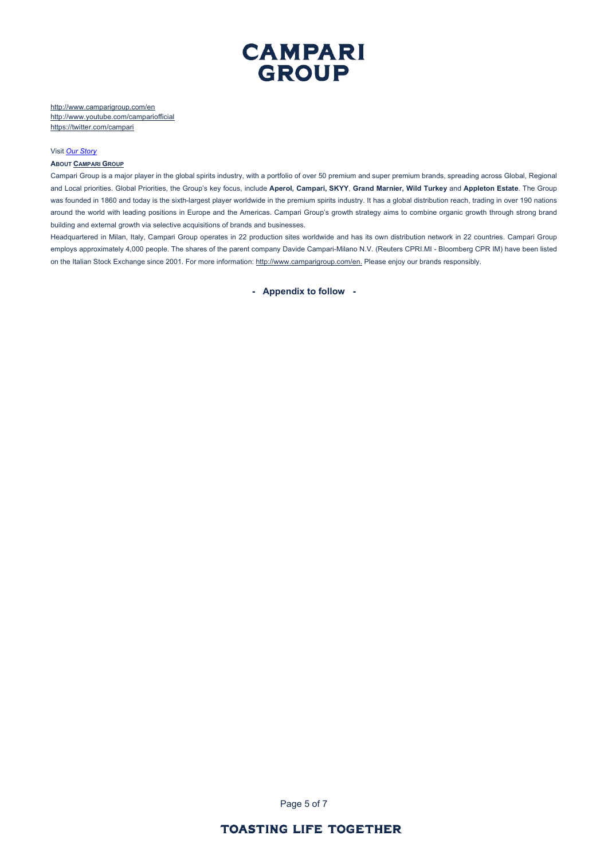

http://www.camparigroup.com/en <http://www.youtube.com/campariofficial> <https://twitter.com/campari>

#### Visit *[Our Story](https://youtu.be/ilNVsU9Cigo)*

#### **ABOU[T CAMPARI GROUP](https://www.camparigroup.com/en)**

Campari Group is a major player in the global spirits industry, with a portfolio of over 50 premium and super premium brands, spreading across Global, Regional and Local priorities. Global Priorities, the Group's key focus, include **Aperol, Campari, SKYY**, **Grand Marnier, Wild Turkey** and **Appleton Estate**. The Group was founded in 1860 and today is the sixth-largest player worldwide in the premium spirits industry. It has a global distribution reach, trading in over 190 nations around the world with leading positions in Europe and the Americas. Campari Group's growth strategy aims to combine organic growth through strong brand building and external growth via selective acquisitions of brands and businesses.

Headquartered in Milan, Italy, Campari Group operates in 22 production sites worldwide and has its own distribution network in 22 countries. Campari Group employs approximately 4,000 people. The shares of the parent company Davide Campari-Milano N.V. (Reuters CPRI.MI - Bloomberg CPR IM) have been listed on the Italian Stock Exchange since 2001. For more information: [http://www.camparigroup.com/en.](http://www.camparigroup.com/en) Please enjoy our brands responsibly.

**- Appendix to follow -**

Page 5 of 7

# **TOASTING LIFE TOGETHER**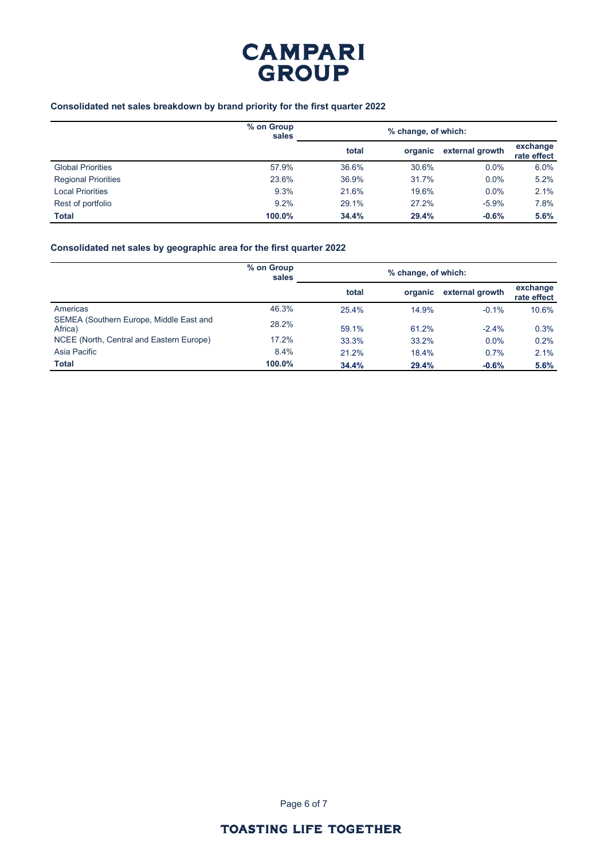

## **Consolidated net sales breakdown by brand priority for the first quarter 2022**

|                            | % on Group<br>sales |       | % change, of which: |                 |                         |  |
|----------------------------|---------------------|-------|---------------------|-----------------|-------------------------|--|
|                            |                     | total | organic             | external growth | exchange<br>rate effect |  |
| <b>Global Priorities</b>   | 57.9%               | 36.6% | 30.6%               | $0.0\%$         | 6.0%                    |  |
| <b>Regional Priorities</b> | 23.6%               | 36.9% | 31.7%               | $0.0\%$         | 5.2%                    |  |
| <b>Local Priorities</b>    | 9.3%                | 21.6% | 19.6%               | $0.0\%$         | 2.1%                    |  |
| Rest of portfolio          | 9.2%                | 29.1% | 27.2%               | $-5.9%$         | 7.8%                    |  |
| <b>Total</b>               | 100.0%              | 34.4% | 29.4%               | $-0.6%$         | 5.6%                    |  |

## **Consolidated net sales by geographic area for the first quarter 2022**

|                                                    | % on Group<br>sales |       | % change, of which: |                 |                         |
|----------------------------------------------------|---------------------|-------|---------------------|-----------------|-------------------------|
|                                                    |                     | total | organic             | external growth | exchange<br>rate effect |
| Americas                                           | 46.3%               | 25.4% | 14.9%               | $-0.1%$         | 10.6%                   |
| SEMEA (Southern Europe, Middle East and<br>Africa) | 28.2%               | 59.1% | 61.2%               | $-2.4%$         | 0.3%                    |
| NCEE (North, Central and Eastern Europe)           | 17.2%               | 33.3% | 33.2%               | $0.0\%$         | 0.2%                    |
| Asia Pacific                                       | 8.4%                | 21.2% | 18.4%               | 0.7%            | 2.1%                    |
| <b>Total</b>                                       | 100.0%              | 34.4% | 29.4%               | $-0.6%$         | 5.6%                    |

Page 6 of 7

# **TOASTING LIFE TOGETHER**